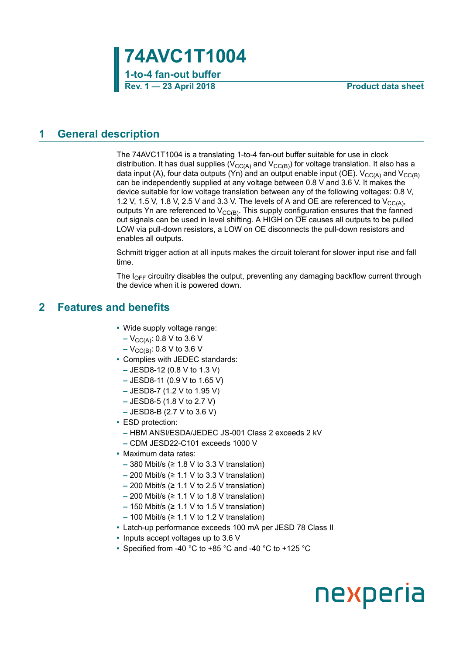

## <span id="page-0-0"></span>**1 General description**

The 74AVC1T1004 is a translating 1-to-4 fan-out buffer suitable for use in clock distribution. It has dual supplies ( $V_{CC(A)}$  and  $V_{CC(B)}$ ) for voltage translation. It also has a data input (A), four data outputs (Yn) and an output enable input ( $\overline{OE}$ ).  $V_{CC(A)}$  and  $V_{CC(B)}$ can be independently supplied at any voltage between 0.8 V and 3.6 V. It makes the device suitable for low voltage translation between any of the following voltages: 0.8 V, 1.2 V, 1.5 V, 1.8 V, 2.5 V and 3.3 V. The levels of A and  $\overline{OE}$  are referenced to  $V_{CC(A)}$ , outputs Yn are referenced to  $V_{CC(B)}$ . This supply configuration ensures that the fanned out signals can be used in level shifting. A HIGH on  $\overline{OE}$  causes all outputs to be pulled LOW via pull-down resistors, a LOW on  $\overline{OE}$  disconnects the pull-down resistors and enables all outputs.

Schmitt trigger action at all inputs makes the circuit tolerant for slower input rise and fall time.

The  $I_{\text{OFF}}$  circuitry disables the output, preventing any damaging backflow current through the device when it is powered down.

## <span id="page-0-1"></span>**2 Features and benefits**

- **•** Wide supply voltage range:
	- **–** V<sub>CC(A)</sub>: 0.8 V to 3.6 V
	- **–** V<sub>CC(B)</sub>: 0.8 V to 3.6 V
- **•** Complies with JEDEC standards:
	- **–** JESD8-12 (0.8 V to 1.3 V)
	- **–** JESD8-11 (0.9 V to 1.65 V)
	- **–** JESD8-7 (1.2 V to 1.95 V)
	- **–** JESD8-5 (1.8 V to 2.7 V)
	- **–** JESD8-B (2.7 V to 3.6 V)
- **•** ESD protection:
	- **–** HBM ANSI/ESDA/JEDEC JS-001 Class 2 exceeds 2 kV
	- **–** CDM JESD22-C101 exceeds 1000 V
- **•** Maximum data rates:
	- **–** 380 Mbit/s (≥ 1.8 V to 3.3 V translation)
	- **–** 200 Mbit/s (≥ 1.1 V to 3.3 V translation)
	- **–** 200 Mbit/s (≥ 1.1 V to 2.5 V translation)
	- **–** 200 Mbit/s (≥ 1.1 V to 1.8 V translation)
	- **–** 150 Mbit/s (≥ 1.1 V to 1.5 V translation)
	- **–** 100 Mbit/s (≥ 1.1 V to 1.2 V translation)
- **•** Latch-up performance exceeds 100 mA per JESD 78 Class II
- **•** Inputs accept voltages up to 3.6 V
- **•** Specified from -40 °C to +85 °C and -40 °C to +125 °C

# nexperia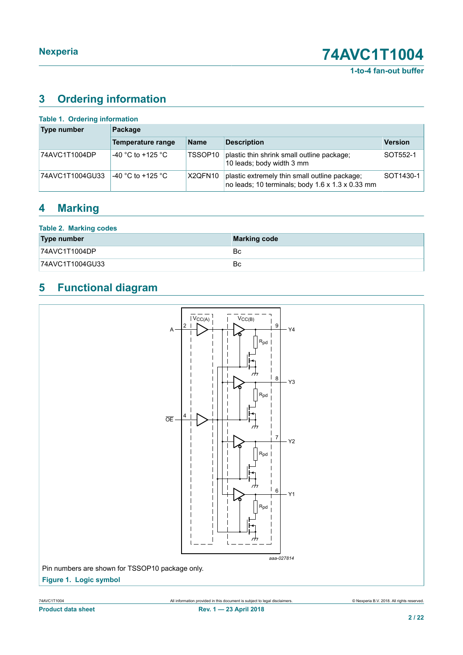**1-to-4 fan-out buffer**

## <span id="page-1-0"></span>**3 Ordering information**

| Table 1. Ordering information |                   |                     |                                                                                                               |                |  |  |  |  |  |
|-------------------------------|-------------------|---------------------|---------------------------------------------------------------------------------------------------------------|----------------|--|--|--|--|--|
| Type number                   | Package           |                     |                                                                                                               |                |  |  |  |  |  |
|                               | Temperature range | <b>Name</b>         | <b>Description</b>                                                                                            | <b>Version</b> |  |  |  |  |  |
| 74AVC1T1004DP                 | -40 °C to +125 °C | TSSOP <sub>10</sub> | plastic thin shrink small outline package;<br>10 leads; body width 3 mm                                       | SOT552-1       |  |  |  |  |  |
| 74AVC1T1004GU33               | -40 °C to +125 °C | X2QFN10             | plastic extremely thin small outline package;<br>no leads; 10 terminals; body $1.6 \times 1.3 \times 0.33$ mm | SOT1430-1      |  |  |  |  |  |

## <span id="page-1-1"></span>**4 Marking**

| <b>Table 2. Marking codes</b> |                     |
|-------------------------------|---------------------|
| Type number                   | <b>Marking code</b> |
| 74AVC1T1004DP                 | Bc                  |
| 74AVC1T1004GU33               | Bc                  |

## <span id="page-1-2"></span>**5 Functional diagram**

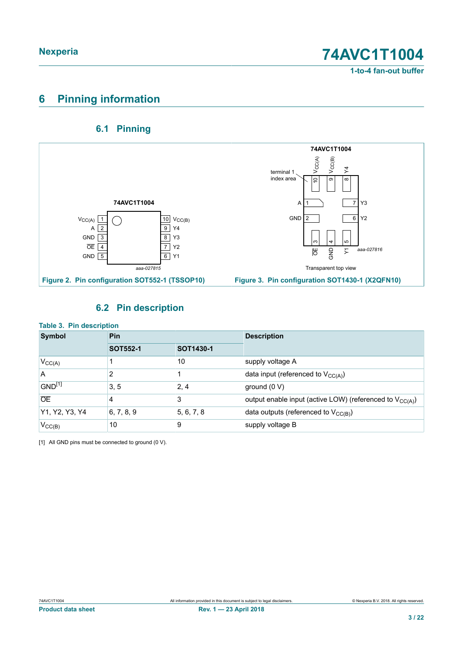**1-to-4 fan-out buffer**

## <span id="page-2-1"></span>**6 Pinning information**

## <span id="page-2-2"></span><span id="page-2-0"></span>**6.1 Pinning**



## <span id="page-2-3"></span>**6.2 Pin description**

| <b>Table 3. Pin description</b><br><b>Symbol</b> | Pin                          |            | <b>Description</b>                                                   |  |  |
|--------------------------------------------------|------------------------------|------------|----------------------------------------------------------------------|--|--|
|                                                  | <b>SOT552-1</b><br>SOT1430-1 |            |                                                                      |  |  |
| $V_{CC(A)}$                                      |                              | 10         | supply voltage A                                                     |  |  |
| l A                                              | 2                            |            | data input (referenced to $V_{CC(A)}$ )                              |  |  |
| GND <sup>[1]</sup>                               | 3, 5                         | 2, 4       | ground $(0 V)$                                                       |  |  |
| <b>OE</b>                                        | 4                            | 3          | output enable input (active LOW) (referenced to V <sub>CC(A)</sub> ) |  |  |
| Y1, Y2, Y3, Y4                                   | 6, 7, 8, 9                   | 5, 6, 7, 8 | data outputs (referenced to $V_{CC(B)}$ )                            |  |  |
| $V_{\text{CC}(B)}$                               | 10                           | 9          | supply voltage B                                                     |  |  |

[1] All GND pins must be connected to ground (0 V).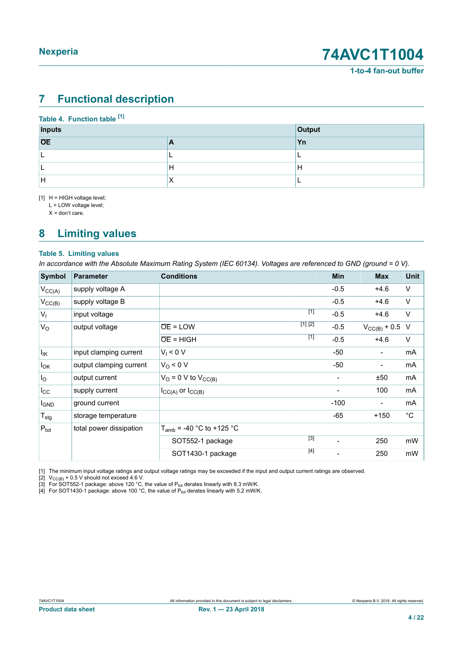## <span id="page-3-4"></span><span id="page-3-1"></span><span id="page-3-0"></span>**7 Functional description**

### <span id="page-3-3"></span><span id="page-3-2"></span>**Table 4. Function table [\[1\]](#page-3-0)**

| <b>Inputs</b> |           | Output   |
|---------------|-----------|----------|
| <b>OE</b>     | A         | Yn       |
|               | -         | <u>_</u> |
|               | Н         | H        |
| lн            | $\lambda$ | -        |

[1] H = HIGH voltage level;

L = LOW voltage level;

 $X =$  don't care.

## <span id="page-3-5"></span>**8 Limiting values**

### **Table 5. Limiting values**

In accordance with the Absolute Maximum Rating System (IEC 60134). Voltages are referenced to GND (ground = 0 V).

| <b>Symbol</b>          | <b>Parameter</b>        | <b>Conditions</b>             | Min    | <b>Max</b>               | <b>Unit</b> |
|------------------------|-------------------------|-------------------------------|--------|--------------------------|-------------|
| $V_{\text{CC}(A)}$     | supply voltage A        |                               | $-0.5$ | $+4.6$                   | $\vee$      |
| $V_{CC(B)}$            | supply voltage B        |                               | $-0.5$ | $+4.6$                   | $\vee$      |
| $V_{1}$                | input voltage           | $[1]$                         | $-0.5$ | $+4.6$                   | $\vee$      |
| $V_{\rm O}$            | output voltage          | [1] [2]<br>$OE = LOW$         | $-0.5$ | $V_{\text{CC}(B)} + 0.5$ | $\vee$      |
|                        |                         | [1]<br>$\overline{OE}$ = HIGH | $-0.5$ | $+4.6$                   | V           |
| $I_{\mathsf{IK}}$      | input clamping current  | $V_1 < 0 V$                   | -50    | $\overline{\phantom{a}}$ | mA          |
| $I_{OK}$               | output clamping current | $V_O < 0 V$                   | -50    |                          | mA          |
| $I_{\rm O}$            | output current          | $V_O = 0$ V to $V_{CC(B)}$    | -      | ±50                      | mA          |
| $I_{\rm CC}$           | supply current          | $I_{CC(A)}$ or $I_{CC(B)}$    | -      | 100                      | mA          |
| <b>I<sub>GND</sub></b> | ground current          |                               | $-100$ | $\overline{\phantom{a}}$ | mA          |
| $T_{\text{stg}}$       | storage temperature     |                               | $-65$  | $+150$                   | $^{\circ}C$ |
| $P_{\text{tot}}$       | total power dissipation | $T_{amb}$ = -40 °C to +125 °C |        |                          |             |
|                        |                         | $[3]$<br>SOT552-1 package     |        | 250                      | mW          |
|                        |                         | $[4]$<br>SOT1430-1 package    |        | 250                      | mW          |

[1] The minimum input voltage ratings and output voltage ratings may be exceeded if the input and output current ratings are observed.

[2]  $V_{\text{CC(B)}}$  + 0.5 V should not exceed 4.6 V.

[3] For SOT552-1 package: above 120 °C, the value of  $P_{\text{tot}}$  derates linearly with 8.3 mW/K.

[4]  $\,$  For SOT1430-1 package: above 100  $^{\circ}$ C, the value of  $P_{\rm tot}$  derates linearly with 5.2 mW/K.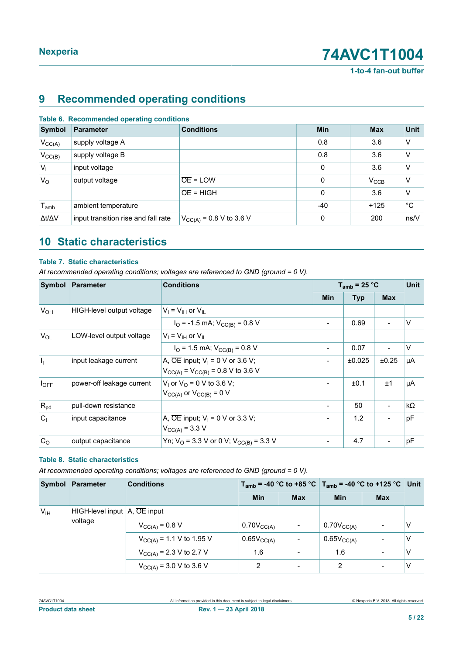**1-to-4 fan-out buffer**

## <span id="page-4-0"></span>**9 Recommended operating conditions**

|  | Table 6. Recommended operating conditions |  |  |
|--|-------------------------------------------|--|--|
|--|-------------------------------------------|--|--|

| Symbol              | <b>Parameter</b>                    | <b>Conditions</b>            | <b>Min</b> | <b>Max</b>       | <b>Unit</b> |
|---------------------|-------------------------------------|------------------------------|------------|------------------|-------------|
| $V_{CC(A)}$         | supply voltage A                    |                              | 0.8        | 3.6              | V           |
| $V_{CC(B)}$         | supply voltage B                    |                              | 0.8        | 3.6              | V           |
| $V_{1}$             | input voltage                       |                              | 0          | 3.6              | V           |
| $V_{\rm O}$         | output voltage                      | $\overline{OE}$ = LOW        | 0          | $V_{\text{CCB}}$ | V           |
|                     |                                     | $\overline{OE}$ = HIGH       | 0          | 3.6              | V           |
| $T_{amb}$           | ambient temperature                 |                              | -40        | $+125$           | $^{\circ}C$ |
| $\Delta t/\Delta V$ | input transition rise and fall rate | $V_{CC(A)} = 0.8 V$ to 3.6 V | 0          | 200              | ns/V        |

## <span id="page-4-1"></span>**10 Static characteristics**

### **Table 7. Static characteristics**

*At recommended operating conditions; voltages are referenced to GND (ground = 0 V).*

| Symbol         | Parameter                 | <b>Conditions</b>                                                                                   |            | $T_{amb}$ = 25 °C |            |           |
|----------------|---------------------------|-----------------------------------------------------------------------------------------------------|------------|-------------------|------------|-----------|
|                |                           |                                                                                                     | <b>Min</b> | <b>Typ</b>        | <b>Max</b> |           |
| $V_{OH}$       | HIGH-level output voltage | $V_i = V_{iH}$ or $V_{iL}$                                                                          |            |                   |            |           |
|                |                           | $I_{\text{O}}$ = -1.5 mA; $V_{\text{CC(B)}}$ = 0.8 V                                                |            | 0.69              |            | V         |
| $V_{OL}$       | LOW-level output voltage  | $V_1 = V_{1H}$ or $V_{II}$                                                                          |            |                   |            |           |
|                |                           | $I_{\text{O}}$ = 1.5 mA; $V_{\text{CC(B)}}$ = 0.8 V                                                 |            | 0.07              |            | $\vee$    |
| h              | input leakage current     | A, $\overline{OE}$ input; $V_1 = 0$ V or 3.6 V;<br>$V_{CC(A)} = V_{CC(B)} = 0.8 \text{ V}$ to 3.6 V |            | ±0.025            | ±0.25      | μA        |
| $I_{OFF}$      | power-off leakage current | $V_1$ or $V_0$ = 0 V to 3.6 V;<br>$V_{CC(A)}$ or $V_{CC(B)} = 0$ V                                  |            | ±0.1              | ±1         | μA        |
| $R_{pd}$       | pull-down resistance      |                                                                                                     |            | 50                |            | $k\Omega$ |
| C <sub>1</sub> | input capacitance         | A, $\overline{OE}$ input; $V_1 = 0$ V or 3.3 V;<br>$V_{CC(A)} = 3.3 V$                              |            | 1.2               |            | pF        |
| C <sub>O</sub> | output capacitance        | Yn; $V_O$ = 3.3 V or 0 V; $V_{CC(B)}$ = 3.3 V                                                       |            | 4.7               |            | pF        |

### **Table 8. Static characteristics**

*At recommended operating conditions; voltages are referenced to GND (ground = 0 V).*

|                 | Symbol Parameter                             | <b>Conditions</b>                   |                     |                              | $T_{amb}$ = -40 °C to +85 °C $T_{amb}$ = -40 °C to +125 °C Unit |            |   |
|-----------------|----------------------------------------------|-------------------------------------|---------------------|------------------------------|-----------------------------------------------------------------|------------|---|
|                 |                                              |                                     | <b>Min</b>          | <b>Max</b>                   | <b>Min</b>                                                      | <b>Max</b> |   |
| V <sub>IH</sub> | HIGH-level input $A$ , $\overline{OE}$ input |                                     |                     |                              |                                                                 |            |   |
|                 | voltage                                      | $V_{CC(A)} = 0.8 V$                 | $0.70V_{CC(A)}$     | $\overline{\phantom{a}}$     | $0.70V_{\text{CC(A)}}$                                          |            | V |
|                 |                                              | $V_{CC(A)} = 1.1 V$ to 1.95 V       | $0.65V_{\rm CC(A)}$ | $\qquad \qquad \blacksquare$ | $0.65V_{\rm CC(A)}$                                             |            | v |
|                 |                                              | $V_{\text{CC(A)}}$ = 2.3 V to 2.7 V | 1.6                 | $\overline{\phantom{a}}$     | 1.6                                                             |            | ٧ |
|                 |                                              | $V_{CC(A)} = 3.0 V$ to 3.6 V        | 2                   | $\overline{\phantom{a}}$     | $\overline{2}$                                                  |            | V |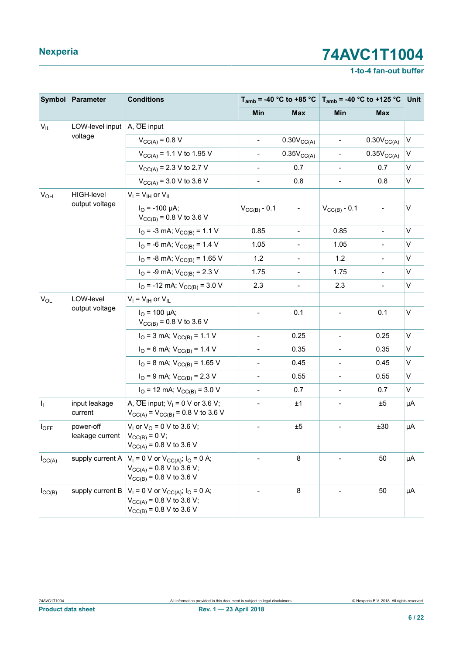## **1-to-4 fan-out buffer**

|                       | Symbol Parameter                                       | <b>Conditions</b>                                                                                                         |                              |                          | $T_{amb}$ = -40 °C to +85 °C   $T_{amb}$ = -40 °C to +125 °C Unit |                          |    |
|-----------------------|--------------------------------------------------------|---------------------------------------------------------------------------------------------------------------------------|------------------------------|--------------------------|-------------------------------------------------------------------|--------------------------|----|
|                       |                                                        |                                                                                                                           | Min                          | <b>Max</b>               | Min                                                               | <b>Max</b>               |    |
| $V_{IL}$              | LOW-level input $\overline{A}$ , $\overline{OE}$ input |                                                                                                                           |                              |                          |                                                                   |                          |    |
|                       | voltage                                                | $V_{CC(A)} = 0.8 V$                                                                                                       |                              | $0.30V_{CC(A)}$          | $\overline{\phantom{a}}$                                          | $0.30V_{CC(A)}$          | V  |
|                       |                                                        | $V_{CC(A)} = 1.1 V$ to 1.95 V                                                                                             |                              | 0.35V <sub>CC(A)</sub>   | $\overline{\phantom{a}}$                                          | 0.35V <sub>CC(A)</sub>   | V  |
|                       |                                                        | $V_{\text{CC(A)}}$ = 2.3 V to 2.7 V                                                                                       |                              | 0.7                      | $\overline{\phantom{a}}$                                          | 0.7                      | V  |
|                       |                                                        | $V_{CC(A)} = 3.0 V$ to 3.6 V                                                                                              | $\blacksquare$               | 0.8                      | $\overline{\phantom{0}}$                                          | 0.8                      | V  |
| <b>V<sub>OH</sub></b> | <b>HIGH-level</b>                                      | $V_I = V_{IH}$ or $V_{IL}$                                                                                                |                              |                          |                                                                   |                          |    |
|                       | output voltage                                         | $I_{\Omega}$ = -100 µA;<br>$V_{\text{CC(B)}}$ = 0.8 V to 3.6 V                                                            | $V_{CC(B)} - 0.1$            | $\overline{\phantom{a}}$ | $V_{CC(B)} - 0.1$                                                 | $\overline{\phantom{a}}$ | V  |
|                       |                                                        | $I_{\text{O}}$ = -3 mA; $V_{\text{CC(B)}}$ = 1.1 V                                                                        | 0.85                         | $\overline{\phantom{a}}$ | 0.85                                                              | $\blacksquare$           | V  |
|                       |                                                        | $I_{\text{O}}$ = -6 mA; $V_{\text{CC(B)}}$ = 1.4 V                                                                        | 1.05                         | $\overline{\phantom{a}}$ | 1.05                                                              | $\overline{\phantom{a}}$ | V  |
|                       |                                                        | $I_{\text{O}}$ = -8 mA; $V_{\text{CC(B)}}$ = 1.65 V                                                                       | 1.2                          | $\blacksquare$           | 1.2                                                               | $\blacksquare$           | V  |
|                       |                                                        | $I_{\text{O}}$ = -9 mA; $V_{\text{CC(B)}}$ = 2.3 V                                                                        | 1.75                         | $\overline{\phantom{a}}$ | 1.75                                                              | $\overline{\phantom{a}}$ | V  |
|                       |                                                        | $I_{\text{O}}$ = -12 mA; $V_{\text{CC(B)}}$ = 3.0 V                                                                       | 2.3                          | $\overline{\phantom{a}}$ | 2.3                                                               | $\overline{\phantom{a}}$ | V  |
| $V_{OL}$              | LOW-level<br>output voltage                            | $V_I = V_{IH}$ or $V_{IL}$                                                                                                |                              |                          |                                                                   |                          |    |
|                       |                                                        | $I_{\text{O}}$ = 100 µA;<br>$V_{CC(B)} = 0.8 V$ to 3.6 V                                                                  |                              | 0.1                      |                                                                   | 0.1                      | V  |
|                       |                                                        | $I_{\text{O}}$ = 3 mA; $V_{\text{CC(B)}}$ = 1.1 V                                                                         | $\overline{\phantom{a}}$     | 0.25                     | $\overline{a}$                                                    | 0.25                     | V  |
|                       |                                                        | $I_{\text{O}}$ = 6 mA; $V_{\text{CC(B)}}$ = 1.4 V                                                                         | $\overline{\phantom{a}}$     | 0.35                     |                                                                   | 0.35                     | V  |
|                       |                                                        | $I_{\text{O}}$ = 8 mA; $V_{\text{CC(B)}}$ = 1.65 V                                                                        | $\overline{\phantom{a}}$     | 0.45                     | $\overline{\phantom{a}}$                                          | 0.45                     | V  |
|                       |                                                        | $I_{\text{O}}$ = 9 mA; $V_{\text{CC(B)}}$ = 2.3 V                                                                         | $\overline{\phantom{a}}$     | 0.55                     | $\overline{\phantom{a}}$                                          | 0.55                     | V  |
|                       |                                                        | $I_{\text{O}}$ = 12 mA; $V_{\text{CC(B)}}$ = 3.0 V                                                                        | $\blacksquare$               | 0.7                      | $\overline{\phantom{a}}$                                          | 0.7                      | V  |
| Hj.                   | input leakage<br>current                               | A, $\overline{OE}$ input; $V_1 = 0$ V or 3.6 V;<br>$V_{CC(A)} = V_{CC(B)} = 0.8 \text{ V}$ to 3.6 V                       | $\qquad \qquad \blacksquare$ | ±1                       | $\overline{\phantom{a}}$                                          | ±5                       | μA |
| $I_{OFF}$             | power-off<br>leakage current                           | $V_1$ or $V_0$ = 0 V to 3.6 V;<br>$V_{CC(B)} = 0 V;$<br>$V_{\text{CC(A)}}$ = 0.8 V to 3.6 V                               | $\overline{\phantom{a}}$     | $\pm 5$                  |                                                                   | ±30                      | μA |
| $I_{\text{CC}(A)}$    | supply current A                                       | $V_1 = 0$ V or $V_{CC(A)}$ ; $I_0 = 0$ A;<br>$V_{CC(A)} = 0.8 V$ to 3.6 V;<br>$V_{\text{CC(B)}}$ = 0.8 V to 3.6 V         |                              | 8                        |                                                                   | 50                       | μA |
| $I_{\text{CC}(B)}$    | supply current B                                       | $V_1 = 0$ V or $V_{CC(A)}$ ; $I_0 = 0$ A;<br>$V_{CC(A)} = 0.8 V$ to 3.6 V;<br>$V_{\text{CC(B)}} = 0.8 \text{ V}$ to 3.6 V |                              | 8                        |                                                                   | 50                       | μA |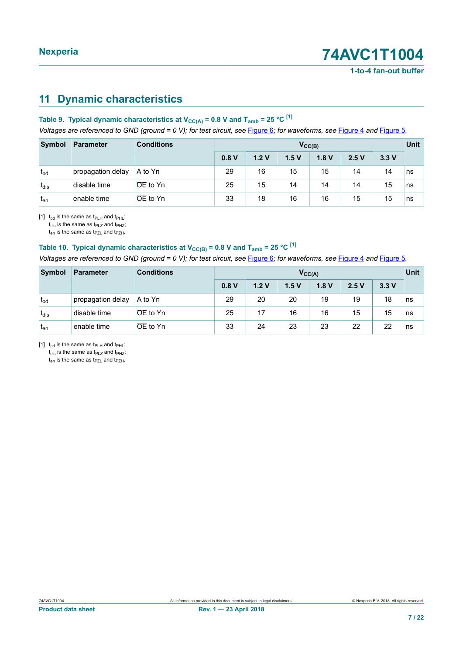## <span id="page-6-1"></span><span id="page-6-0"></span>**11 Dynamic characteristics**

## **Table 9. Typical dynamic characteristics at**  $V_{CC(A)} = 0.8$  **V and**  $T_{amb} = 25$  **°C**  $^{[1]}$  $^{[1]}$  $^{[1]}$

Voltages are referenced to GND (ground = 0 V); for test circuit, see [Figure 6](#page-11-0); for waveforms, see [Figure 4](#page-10-0) and [Figure 5](#page-10-1).

| Symbol          | <b>Parameter</b>  | <b>Conditions</b>     | $V_{\text{CC(B)}}$ |      |      |      |      |      | Unit |
|-----------------|-------------------|-----------------------|--------------------|------|------|------|------|------|------|
|                 |                   |                       | 0.8V               | 1.2V | 1.5V | 1.8V | 2.5V | 3.3V |      |
| $t_{pd}$        | propagation delay | A to Yn               | 29                 | 16   | 15   | 15   | 14   | 14   | ns   |
| $t_{dis}$       | disable time      | <b>OE</b> to Yn       | 25                 | 15   | 14   | 14   | 14   | 15   | ns   |
| t <sub>en</sub> | enable time       | $\overline{OE}$ to Yn | 33                 | 18   | 16   | 16   | 15   | 15   | ns   |

[1]  $t_{pd}$  is the same as  $t_{PLH}$  and  $t_{PHL}$ ;

 $t_{dis}$  is the same as  $t_{PLZ}$  and  $t_{PHZ}$ ;

 $t_{en}$  is the same as  $t_{PZL}$  and  $t_{PZH}$ .

## **Table 10. Typical dynamic characteristics at**  $V_{CC(B)} = 0.8$  **V and**  $T_{amb} = 25$  **°C <sup>[\[1\]](#page-6-0)</sup>**

Voltages are referenced to GND (ground = 0 V); for test circuit, see [Figure 6](#page-11-0); for waveforms, see [Figure 4](#page-10-0) and [Figure 5](#page-10-1).

| Symbol           | <b>Parameter</b>  | <b>Conditions</b>     | $V_{CC(A)}$ |      |      |      |      | Unit |    |
|------------------|-------------------|-----------------------|-------------|------|------|------|------|------|----|
|                  |                   |                       | 0.8V        | 1.2V | 1.5V | 1.8V | 2.5V | 3.3V |    |
| $t_{\text{pd}}$  | propagation delay | A to Yn               | 29          | 20   | 20   | 19   | 19   | 18   | ns |
| $t_{dis}$        | disable time      | $\overline{OE}$ to Yn | 25          | 17   | 16   | 16   | 15   | 15   | ns |
| 't <sub>en</sub> | enable time       | $OE$ to $Yn$          | 33          | 24   | 23   | 23   | 22   | 22   | ns |

[1]  $t_{pd}$  is the same as  $t_{PLH}$  and  $t_{PHL}$ ;

 $t_{dis}$  is the same as  $t_{PLZ}$  and  $t_{PHZ}$ ;  $t_{en}$  is the same as  $t_{PZL}$  and  $t_{PZH}$ .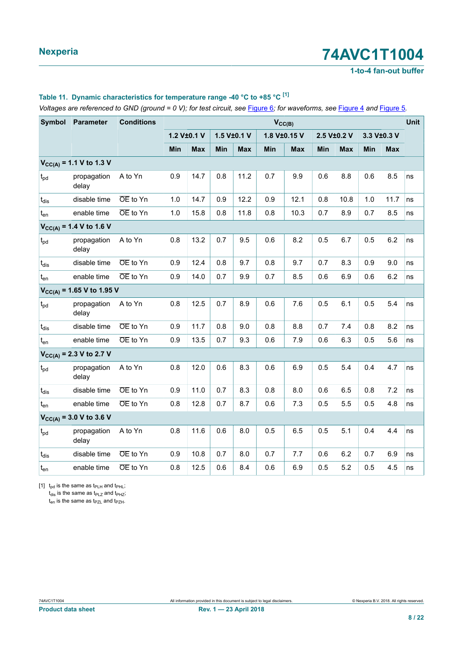### **1-to-4 fan-out buffer**

### <span id="page-7-0"></span>**Table 11. Dynamic characteristics for temperature range -40 °C to +85 °C [\[1\]](#page-7-0)**

Voltages are referenced to GND (ground = 0 V); for test circuit, see [Figure 6](#page-11-0); for waveforms, see [Figure 4](#page-10-0) and [Figure 5](#page-10-1).

| <b>Symbol</b> | <b>Parameter</b>               | <b>Conditions</b> |             |            |             |            | $V_{CC(B)}$  |            |     |             |     |             | <b>Unit</b> |
|---------------|--------------------------------|-------------------|-------------|------------|-------------|------------|--------------|------------|-----|-------------|-----|-------------|-------------|
|               |                                |                   | 1.2 V±0.1 V |            | 1.5 V±0.1 V |            | 1.8 V±0.15 V |            |     | 2.5 V±0.2 V |     | 3.3 V±0.3 V |             |
|               |                                |                   | Min         | <b>Max</b> | Min         | <b>Max</b> | Min          | <b>Max</b> | Min | <b>Max</b>  | Min | <b>Max</b>  |             |
|               | $V_{CC(A)} = 1.1 V$ to 1.3 V   |                   |             |            |             |            |              |            |     |             |     |             |             |
| $t_{pd}$      | propagation<br>delay           | A to Yn           | 0.9         | 14.7       | 0.8         | 11.2       | 0.7          | 9.9        | 0.6 | 8.8         | 0.6 | 8.5         | ns          |
| $t_{dis}$     | disable time                   | OE to Yn          | 1.0         | 14.7       | 0.9         | 12.2       | 0.9          | 12.1       | 0.8 | 10.8        | 1.0 | 11.7        | ns          |
| $t_{en}$      | enable time                    | OE to Yn          | 1.0         | 15.8       | 0.8         | 11.8       | 0.8          | 10.3       | 0.7 | 8.9         | 0.7 | 8.5         | ns          |
|               | $V_{CC(A)} = 1.4 V$ to 1.6 V   |                   |             |            |             |            |              |            |     |             |     |             |             |
| $t_{pd}$      | propagation<br>delay           | A to Yn           | 0.8         | 13.2       | 0.7         | 9.5        | 0.6          | 8.2        | 0.5 | 6.7         | 0.5 | 6.2         | ns          |
| $t_{dis}$     | disable time                   | OE to Yn          | 0.9         | 12.4       | 0.8         | 9.7        | 0.8          | 9.7        | 0.7 | 8.3         | 0.9 | 9.0         | ns          |
| $t_{en}$      | enable time                    | OE to Yn          | 0.9         | 14.0       | 0.7         | 9.9        | 0.7          | 8.5        | 0.6 | 6.9         | 0.6 | 6.2         | ns          |
|               | $V_{CC(A)}$ = 1.65 V to 1.95 V |                   |             |            |             |            |              |            |     |             |     |             |             |
| $t_{pd}$      | propagation<br>delay           | A to Yn           | 0.8         | 12.5       | 0.7         | 8.9        | 0.6          | 7.6        | 0.5 | 6.1         | 0.5 | 5.4         | ns          |
| $t_{dis}$     | disable time                   | OE to Yn          | 0.9         | 11.7       | 0.8         | 9.0        | 0.8          | 8.8        | 0.7 | 7.4         | 0.8 | 8.2         | ns          |
| $t_{en}$      | enable time                    | OE to Yn          | 0.9         | 13.5       | 0.7         | 9.3        | 0.6          | 7.9        | 0.6 | 6.3         | 0.5 | 5.6         | ns          |
|               | $V_{CC(A)} = 2.3 V$ to 2.7 V   |                   |             |            |             |            |              |            |     |             |     |             |             |
| $t_{pd}$      | propagation<br>delay           | A to Yn           | 0.8         | 12.0       | 0.6         | 8.3        | 0.6          | 6.9        | 0.5 | 5.4         | 0.4 | 4.7         | ns          |
| $t_{dis}$     | disable time                   | OE to Yn          | 0.9         | 11.0       | 0.7         | 8.3        | 0.8          | 8.0        | 0.6 | 6.5         | 0.8 | 7.2         | ns          |
| $t_{en}$      | enable time                    | OE to Yn          | 0.8         | 12.8       | 0.7         | 8.7        | 0.6          | 7.3        | 0.5 | 5.5         | 0.5 | 4.8         | ns          |
|               | $V_{CC(A)} = 3.0 V$ to 3.6 V   |                   |             |            |             |            |              |            |     |             |     |             |             |
| $t_{pd}$      | propagation<br>delay           | A to Yn           | 0.8         | 11.6       | 0.6         | 8.0        | 0.5          | 6.5        | 0.5 | 5.1         | 0.4 | 4.4         | ns          |
| $t_{dis}$     | disable time                   | OE to Yn          | 0.9         | 10.8       | 0.7         | 8.0        | 0.7          | 7.7        | 0.6 | 6.2         | 0.7 | 6.9         | ns          |
| $t_{en}$      | enable time                    | OE to Yn          | 0.8         | 12.5       | 0.6         | 8.4        | 0.6          | 6.9        | 0.5 | 5.2         | 0.5 | 4.5         | ns          |

[1]  $t_{pd}$  is the same as  $t_{PLH}$  and  $t_{PHL}$ ;

 $t_{dis}$  is the same as  $t_{PLZ}$  and  $t_{PHZ}$ ;

 $t_{en}$  is the same as  $t_{PZL}$  and  $t_{PZH}$ .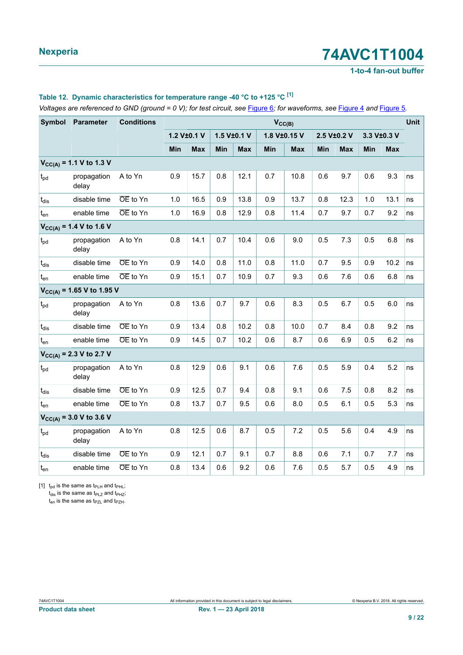### **1-to-4 fan-out buffer**

### <span id="page-8-0"></span>**Table 12. Dynamic characteristics for temperature range -40 °C to +125 °C [\[1\]](#page-8-0)**

Voltages are referenced to GND (ground = 0 V); for test circuit, see [Figure 6](#page-11-0); for waveforms, see [Figure 4](#page-10-0) and [Figure 5](#page-10-1).

| <b>Symbol</b>   | <b>Parameter</b>               | <b>Conditions</b> |             |            |     |             | $V_{CC(B)}$  |            |     |             |     |             | <b>Unit</b> |
|-----------------|--------------------------------|-------------------|-------------|------------|-----|-------------|--------------|------------|-----|-------------|-----|-------------|-------------|
|                 |                                |                   | 1.2 V±0.1 V |            |     | 1.5 V±0.1 V | 1.8 V±0.15 V |            |     | 2.5 V±0.2 V |     | 3.3 V±0.3 V |             |
|                 |                                |                   | Min         | <b>Max</b> | Min | <b>Max</b>  | Min          | <b>Max</b> | Min | <b>Max</b>  | Min | <b>Max</b>  |             |
|                 | $V_{CC(A)} = 1.1 V$ to 1.3 V   |                   |             |            |     |             |              |            |     |             |     |             |             |
| $t_{pd}$        | propagation<br>delay           | A to Yn           | 0.9         | 15.7       | 0.8 | 12.1        | 0.7          | 10.8       | 0.6 | 9.7         | 0.6 | 9.3         | ns          |
| $t_{dis}$       | disable time                   | OE to Yn          | 1.0         | 16.5       | 0.9 | 13.8        | 0.9          | 13.7       | 0.8 | 12.3        | 1.0 | 13.1        | ns          |
| $t_{en}$        | enable time                    | OE to Yn          | 1.0         | 16.9       | 0.8 | 12.9        | 0.8          | 11.4       | 0.7 | 9.7         | 0.7 | 9.2         | ns          |
|                 | $V_{CC(A)} = 1.4 V$ to 1.6 V   |                   |             |            |     |             |              |            |     |             |     |             |             |
| $t_{pd}$        | propagation<br>delay           | A to Yn           | 0.8         | 14.1       | 0.7 | 10.4        | 0.6          | 9.0        | 0.5 | 7.3         | 0.5 | 6.8         | ns          |
| $t_{dis}$       | disable time                   | OE to Yn          | 0.9         | 14.0       | 0.8 | 11.0        | 0.8          | 11.0       | 0.7 | 9.5         | 0.9 | 10.2        | ns          |
| $t_{en}$        | enable time                    | OE to Yn          | 0.9         | 15.1       | 0.7 | 10.9        | 0.7          | 9.3        | 0.6 | 7.6         | 0.6 | 6.8         | ns          |
|                 | $V_{CC(A)}$ = 1.65 V to 1.95 V |                   |             |            |     |             |              |            |     |             |     |             |             |
| $t_{pd}$        | propagation<br>delay           | A to Yn           | 0.8         | 13.6       | 0.7 | 9.7         | 0.6          | 8.3        | 0.5 | 6.7         | 0.5 | 6.0         | ns          |
| $t_{dis}$       | disable time                   | OE to Yn          | 0.9         | 13.4       | 0.8 | 10.2        | 0.8          | 10.0       | 0.7 | 8.4         | 0.8 | 9.2         | ns          |
| $t_{en}$        | enable time                    | OE to Yn          | 0.9         | 14.5       | 0.7 | 10.2        | 0.6          | 8.7        | 0.6 | 6.9         | 0.5 | 6.2         | ns          |
|                 | $V_{CC(A)} = 2.3 V$ to 2.7 V   |                   |             |            |     |             |              |            |     |             |     |             |             |
| $t_{pd}$        | propagation<br>delay           | A to Yn           | 0.8         | 12.9       | 0.6 | 9.1         | 0.6          | 7.6        | 0.5 | 5.9         | 0.4 | 5.2         | ns          |
| $t_{dis}$       | disable time                   | OE to Yn          | 0.9         | 12.5       | 0.7 | 9.4         | 0.8          | 9.1        | 0.6 | 7.5         | 0.8 | 8.2         | ns          |
| $t_{en}$        | enable time                    | OE to Yn          | 0.8         | 13.7       | 0.7 | 9.5         | 0.6          | 8.0        | 0.5 | 6.1         | 0.5 | 5.3         | ns          |
|                 | $V_{CC(A)} = 3.0 V$ to 3.6 V   |                   |             |            |     |             |              |            |     |             |     |             |             |
| $t_{\text{pd}}$ | propagation<br>delay           | A to Yn           | 0.8         | 12.5       | 0.6 | 8.7         | 0.5          | 7.2        | 0.5 | 5.6         | 0.4 | 4.9         | ns          |
| $t_{dis}$       | disable time                   | OE to Yn          | 0.9         | 12.1       | 0.7 | 9.1         | 0.7          | 8.8        | 0.6 | 7.1         | 0.7 | 7.7         | ns          |
| $t_{en}$        | enable time                    | OE to Yn          | 0.8         | 13.4       | 0.6 | 9.2         | 0.6          | 7.6        | 0.5 | 5.7         | 0.5 | 4.9         | ns          |

[1]  $t_{pd}$  is the same as  $t_{PLH}$  and  $t_{PHL}$ ;

 $t_{dis}$  is the same as  $t_{PLZ}$  and  $t_{PHZ}$ ;

 $t_{en}$  is the same as  $t_{PZL}$  and  $t_{PZH}$ .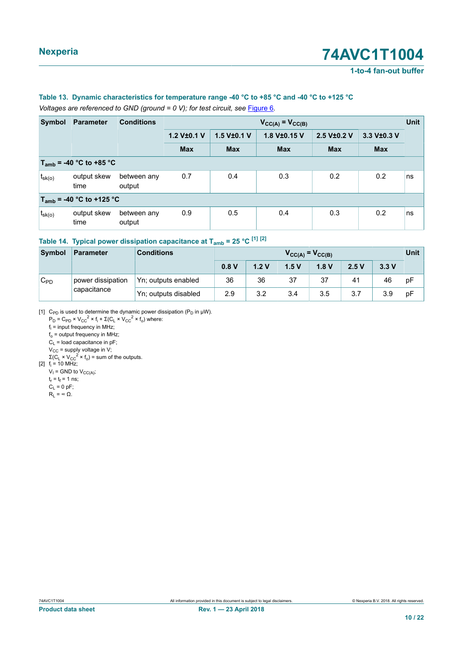**1-to-4 fan-out buffer**

### <span id="page-9-0"></span>**Table 13. Dynamic characteristics for temperature range -40 °C to +85 °C and -40 °C to +125 °C**

*Voltages are referenced to GND (ground = 0 V); for test circuit, see* [Figure 6](#page-11-0)*.*

<span id="page-9-1"></span>

| Symbol                        | <b>Parameter</b>             | <b>Conditions</b>     |             | $V_{CC(A)} = V_{CC(B)}$ |              |             |             |    |  |  |  |  |
|-------------------------------|------------------------------|-----------------------|-------------|-------------------------|--------------|-------------|-------------|----|--|--|--|--|
|                               |                              |                       | 1.2 V±0.1 V | 1.5 V±0.1 V             | 1.8 V±0.15 V | 2.5 V±0.2 V | 3.3 V±0.3 V |    |  |  |  |  |
|                               |                              |                       | <b>Max</b>  | <b>Max</b>              | <b>Max</b>   | <b>Max</b>  | <b>Max</b>  |    |  |  |  |  |
|                               | $T_{amb}$ = -40 °C to +85 °C |                       |             |                         |              |             |             |    |  |  |  |  |
| $t_{sk(o)}$                   | output skew<br>time          | between any<br>output | 0.7         | 0.4                     | 0.3          | 0.2         | 0.2         | ns |  |  |  |  |
| $T_{amb}$ = -40 °C to +125 °C |                              |                       |             |                         |              |             |             |    |  |  |  |  |
| $t_{\rm sk(o)}$               | output skew<br>time          | between any<br>output | 0.9         | 0.5                     | 0.4          | 0.3         | 0.2         | ns |  |  |  |  |

## **Table 14. Typical power dissipation capacitance at <sup>T</sup>amb = 25 °C [\[1\]](#page-9-0) [\[2\]](#page-9-1)**

| Symbol   | <b>Parameter</b>  | <b>Conditions</b>    | $V_{CC(A)} = V_{CC(B)}$ |      |      |      |      |      |    |  |
|----------|-------------------|----------------------|-------------------------|------|------|------|------|------|----|--|
|          |                   |                      | 0.8V                    | 1.2V | 1.5V | 1.8V | 2.5V | 3.3V |    |  |
| $C_{PD}$ | power dissipation | Yn; outputs enabled  | 36                      | 36   | 37   | 37   | 41   | 46   | рF |  |
|          | capacitance       | Yn; outputs disabled | 2.9                     | 3.2  | 3.4  | 3.5  | 3.7  | 3.9  | pF |  |

[1] C<sub>PD</sub> is used to determine the dynamic power dissipation (P<sub>D</sub> in  $\mu$ W).

 $P_D = C_{PD} \times V_{CC}^2 \times f_i + \Sigma (C_L \times V_{CC}^2 \times f_0)$  where: fi = input frequency in MHz;  $f_0$  = output frequency in MHz;  $C_L$  = load capacitance in pF;  $\rm V_{CC}$  = supply voltage in V;

 $\Sigma$ (C<sub>L</sub> × V<sub>CC</sub><sup>2</sup> × f<sub>o</sub>) = sum of the outputs.

 $[2]$  f<sub>i</sub> = 10 MHz;  $V_I$  = GND to  $V_{CC(A)}$ ;

 $t_r = t_f = 1$  ns;

 $C_L = 0$  pF;  $R_L = \infty \Omega$ .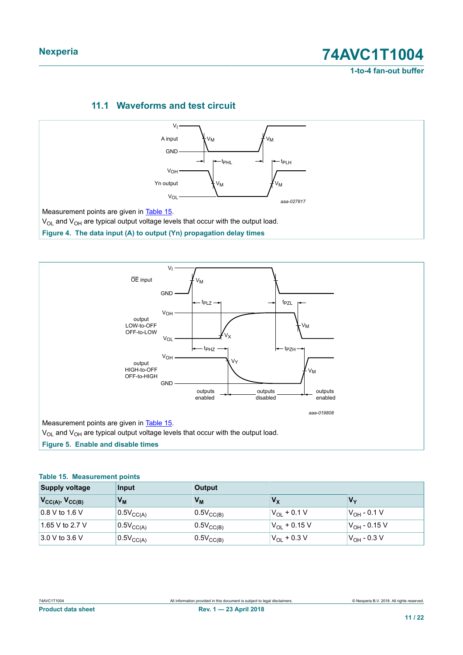**Nexperia 74AVC1T1004 1-to-4 fan-out buffer**

## <span id="page-10-3"></span>**11.1 Waveforms and test circuit**

<span id="page-10-0"></span>

<span id="page-10-1"></span>

### <span id="page-10-2"></span>**Table 15. Measurement points**

| <b>Supply voltage</b>     | Input                 | <b>Output</b>         |                      |                           |
|---------------------------|-----------------------|-----------------------|----------------------|---------------------------|
| $V_{CC(A)}$ , $V_{CC(B)}$ | Vм                    | Vм                    | Vχ                   | $V_{\mathbf{v}}$          |
| $\vert$ 0.8 V to 1.6 V    | $0.5V_{CC(A)}$        | $0.5V_{\text{CC(B)}}$ | $V_{\Omega}$ + 0.1 V | 'V <sub>OH</sub> - 0.1 V  |
| 1.65 V to 2.7 V           | $0.5V_{\text{CC(A)}}$ | $0.5V_{\text{CC(B)}}$ | $V_{OL}$ + 0.15 V    | 'V <sub>OH</sub> - 0.15 V |
| $3.0 V$ to 3.6 V          | $0.5V_{CC(A)}$        | $0.5V_{CC(B)}$        | $V_{OL}$ + 0.3 V     | $V_{OH}$ - 0.3 V          |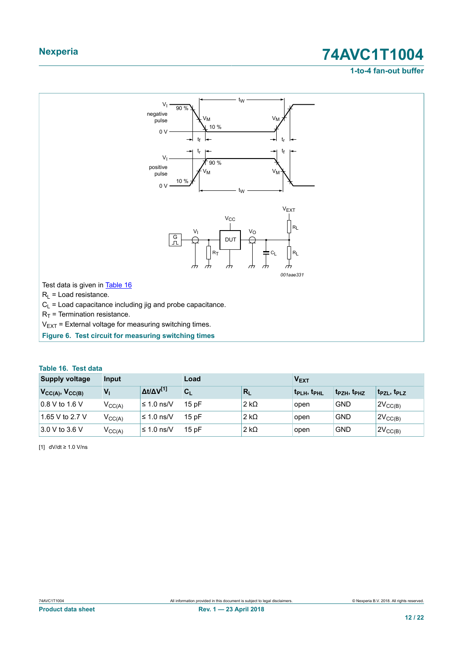## **1-to-4 fan-out buffer**

<span id="page-11-2"></span><span id="page-11-0"></span>

<span id="page-11-1"></span>

|  |  |  |  | Table 16. Test data |  |
|--|--|--|--|---------------------|--|
|--|--|--|--|---------------------|--|

| <b>Supply voltage</b>  | Input              |                           | Load  | V <sub>EXT</sub> |                                     |                                     |                       |
|------------------------|--------------------|---------------------------|-------|------------------|-------------------------------------|-------------------------------------|-----------------------|
| $V_{CC(A)}, V_{CC(B)}$ | $V_{1}$            | $\Delta t/\Delta V^{[1]}$ | $C_L$ | $R_{L}$          | t <sub>PLH</sub> , t <sub>PHL</sub> | t <sub>PZH</sub> , t <sub>PHZ</sub> | $t_{PZL}$ , $t_{PLZ}$ |
| $\vert$ 0.8 V to 1.6 V | $V_{\text{CC(A)}}$ | ≤ 1.0 ns/V                | 15pF  | $2 k\Omega$      | open                                | <b>GND</b>                          | $2V_{CC(B)}$          |
| 1.65 V to 2.7 V        | $V_{CC(A)}$        | ≤ 1.0 ns/V                | 15pF  | $2 k\Omega$      | open                                | <b>GND</b>                          | $2V_{CC(B)}$          |
| 3.0 V to 3.6 V         | $V_{\text{CC(A)}}$ | ≤ 1.0 ns/V                | 15pF  | $2 k\Omega$      | open                                | <b>GND</b>                          | $2V_{CC(B)}$          |

[1] dV/dt ≥ 1.0 V/ns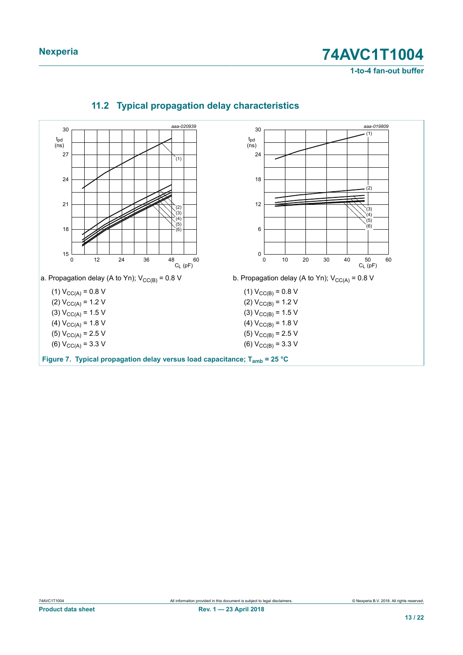**1-to-4 fan-out buffer**



## <span id="page-12-0"></span>**11.2 Typical propagation delay characteristics**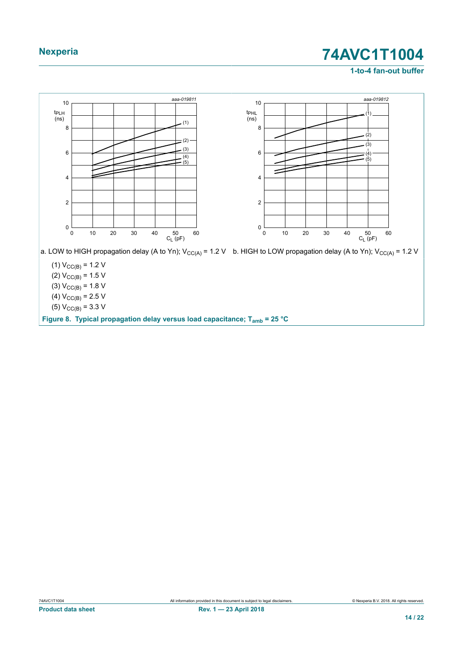## **1-to-4 fan-out buffer**



(5)  $V_{\text{CC(B)}} = 3.3 \text{ V}$ 

**Figure 8. Typical propagation delay versus load capacitance; Tamb = 25 °C**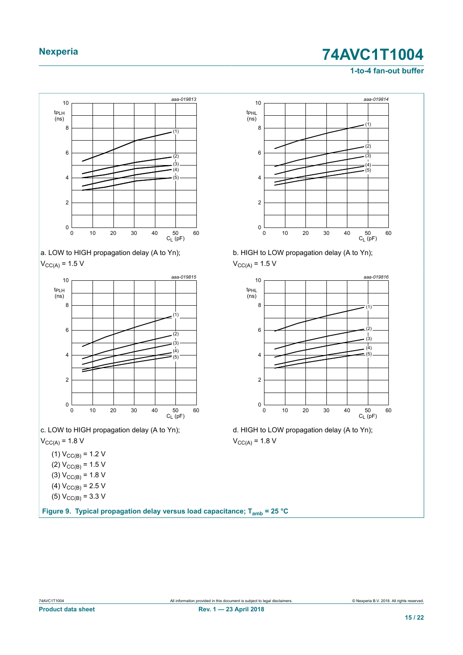## **1-to-4 fan-out buffer**





 $V_{\text{CC(A)}} = 1.5 V$ 



c. LOW to HIGH propagation delay (A to Yn);

 $V_{CC(A)} = 1.8 V$ 

- (1)  $V_{CC(B)} = 1.2 V$ (2)  $V_{CC(B)} = 1.5 V$ (3)  $V_{CC(B)} = 1.8 V$ (4)  $V_{CC(B)} = 2.5 V$
- (5)  $V_{CC(B)} = 3.3 V$

**Figure 9. Typical propagation delay versus load capacitance; Tamb = 25 °C**



b. HIGH to LOW propagation delay (A to Yn);  $V_{CC(A)} = 1.5 V$ 



d. HIGH to LOW propagation delay (A to Yn);  $V_{CC(A)} = 1.8 V$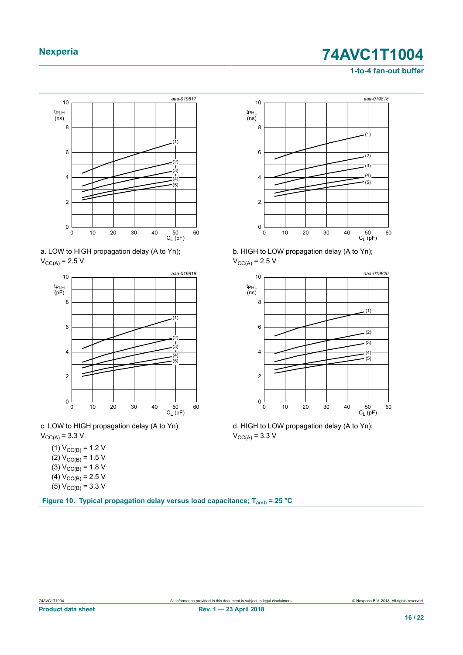## **1-to-4 fan-out buffer**







c. LOW to HIGH propagation delay (A to Yn);  $V_{\text{CC(A)}} = 3.3 \text{ V}$ 

(1)  $V_{CC(B)} = 1.2 V$ (2)  $V_{CC(B)} = 1.5 V$ (3)  $V_{\text{CC(B)}} = 1.8 \text{ V}$ (4)  $V_{CC(B)} = 2.5 V$ (5)  $V_{\text{CC(B)}} = 3.3 \text{ V}$ 

**Figure 10. Typical propagation delay versus load capacitance; Tamb = 25 °C**



b. HIGH to LOW propagation delay (A to Yn);  $V_{\text{CC(A)}} = 2.5 V$ 



d. HIGH to LOW propagation delay (A to Yn);  $V_{\text{CC(A)}} = 3.3 V$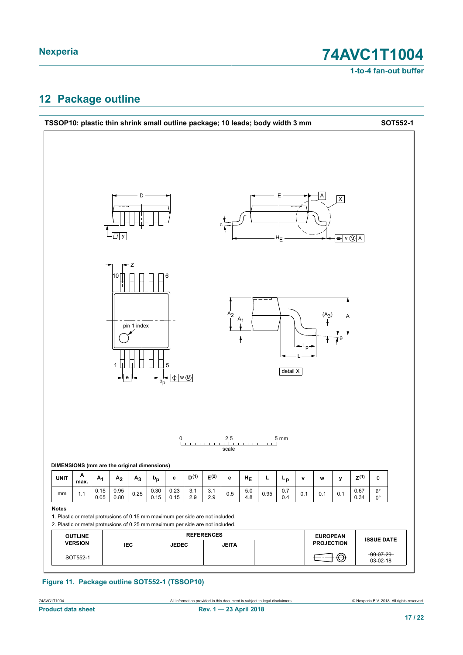**1-to-4 fan-out buffer**

## <span id="page-16-0"></span>**12 Package outline**

|                                             |                                  |              |                     |                  |              |                                 |            |                                                                                                                                                                |                |            |      | TSSOP10: plastic thin shrink small outline package; 10 leads; body width 3 mm |              |                                      |              |                 |                            | SOT552-1 |
|---------------------------------------------|----------------------------------|--------------|---------------------|------------------|--------------|---------------------------------|------------|----------------------------------------------------------------------------------------------------------------------------------------------------------------|----------------|------------|------|-------------------------------------------------------------------------------|--------------|--------------------------------------|--------------|-----------------|----------------------------|----------|
|                                             |                                  |              | $\overline{\Box}$ у | D                |              |                                 |            |                                                                                                                                                                |                |            |      | $\mathbf{I}$<br>$H_E$                                                         |              |                                      | $\mathsf{X}$ | $= v \otimes A$ |                            |          |
|                                             |                                  |              | 10<br>1<br>e        | Ζ<br>pin 1 index | $b_p$        | 6<br>5<br>$-\Phi$ w $\circledR$ |            |                                                                                                                                                                | A <sub>2</sub> | $A_1$      |      | detail X                                                                      | $ +L_{p+1} $ | (A <sub>3</sub> )                    | 70           |                 |                            |          |
|                                             |                                  |              |                     |                  |              |                                 |            |                                                                                                                                                                | $2.5\,$        |            |      | 5 mm                                                                          |              |                                      |              |                 |                            |          |
| DIMENSIONS (mm are the original dimensions) |                                  |              |                     |                  |              | 0                               |            |                                                                                                                                                                | scale          |            |      |                                                                               |              |                                      |              |                 |                            |          |
| <b>UNIT</b>                                 | Α<br>max.                        | $A_1$        | A <sub>2</sub>      | $A_3$            | $b_p$        | c                               | $D^{(1)}$  | $E^{(2)}$                                                                                                                                                      | е              | $H_E$      | L    | $\mathsf{L}_{\mathsf{p}}$                                                     | $\mathbf v$  | W                                    | у            | $Z^{(1)}$       | θ                          |          |
| mm                                          | 1.1                              | 0.15<br>0.05 | 0.95<br>0.80        | 0.25             | 0.30<br>0.15 | 0.23<br>0.15                    | 3.1<br>2.9 | 3.1<br>2.9                                                                                                                                                     | 0.5            | 5.0<br>4.8 | 0.95 | 0.7<br>0.4                                                                    | 0.1          | 0.1                                  | 0.1          | 0.67<br>0.34    | $6^{\circ}$<br>$0^{\circ}$ |          |
| <b>Notes</b>                                |                                  |              |                     |                  |              |                                 |            | 1. Plastic or metal protrusions of 0.15 mm maximum per side are not included.<br>2. Plastic or metal protrusions of 0.25 mm maximum per side are not included. |                |            |      |                                                                               |              |                                      |              |                 |                            |          |
|                                             | <b>OUTLINE</b><br><b>VERSION</b> |              |                     | IEC              |              | <b>JEDEC</b>                    |            | <b>REFERENCES</b>                                                                                                                                              | <b>JEITA</b>   |            |      |                                                                               |              | <b>EUROPEAN</b><br><b>PROJECTION</b> |              |                 | <b>ISSUE DATE</b>          |          |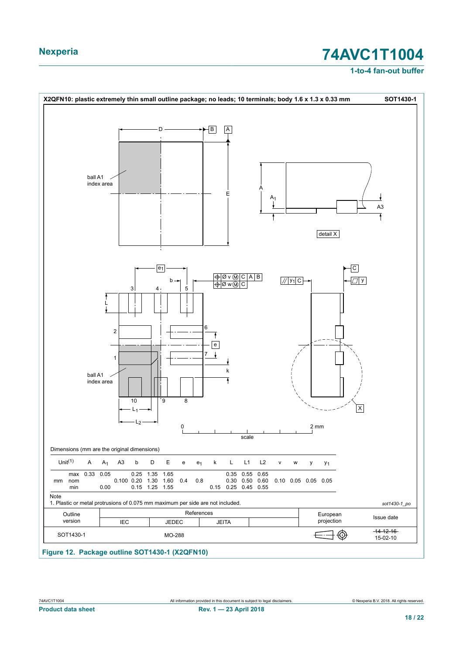### **1-to-4 fan-out buffer**



74AVC1T1004 All information provided in this document is subject to legal disclaimers. © Nexperia B.V. 2018. All rights reserved.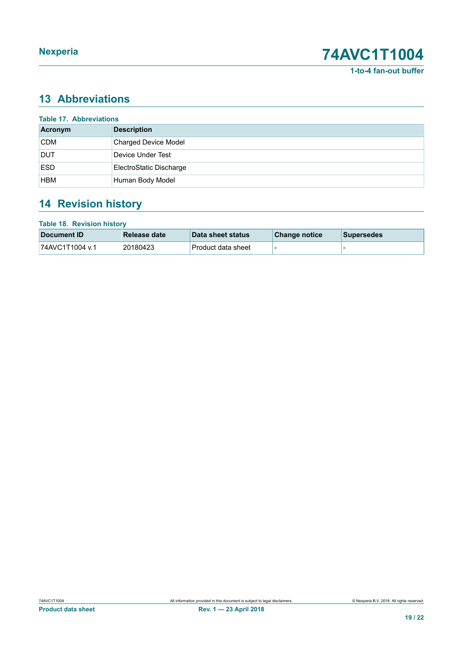**1-to-4 fan-out buffer**

## <span id="page-18-0"></span>**13 Abbreviations**

| <b>Table 17. Abbreviations</b> |                             |  |  |  |  |  |  |
|--------------------------------|-----------------------------|--|--|--|--|--|--|
| Acronym                        | <b>Description</b>          |  |  |  |  |  |  |
| <b>CDM</b>                     | <b>Charged Device Model</b> |  |  |  |  |  |  |
| <b>DUT</b>                     | Device Under Test           |  |  |  |  |  |  |
| <b>ESD</b>                     | ElectroStatic Discharge     |  |  |  |  |  |  |
| <b>HBM</b>                     | Human Body Model            |  |  |  |  |  |  |

## <span id="page-18-1"></span>**14 Revision history**

| <b>Table 18. Revision history</b> |                     |                    |               |                   |
|-----------------------------------|---------------------|--------------------|---------------|-------------------|
| Document ID                       | <b>Release date</b> | Data sheet status  | Change notice | <b>Supersedes</b> |
| 74AVC1T1004 v.1                   | 20180423            | Product data sheet | -             |                   |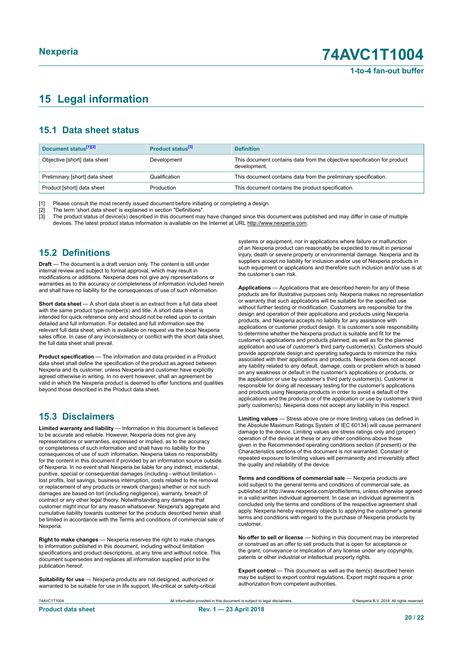## <span id="page-19-0"></span>**15 Legal information**

## **15.1 Data sheet status**

| Document status <sup>[1][2]</sup> | Product status <sup>[3]</sup> | <b>Definition</b>                                                                        |
|-----------------------------------|-------------------------------|------------------------------------------------------------------------------------------|
| Objective [short] data sheet      | Development                   | This document contains data from the objective specification for product<br>development. |
| Preliminary [short] data sheet    | Qualification                 | This document contains data from the preliminary specification.                          |
| Product [short] data sheet        | Production                    | This document contains the product specification.                                        |

[1] Please consult the most recently issued document before initiating or completing a design.

[2] The term 'short data sheet' is explained in section "Definitions".<br>[3] The product status of device(s) described in this document may [3] The product status of device(s) described in this document may have changed since this document was published and may differ in case of multiple devices. The latest product status information is available on the Internet at URL http://www.nexperia.com.

## **15.2 Definitions**

**Draft** — The document is a draft version only. The content is still under internal review and subject to formal approval, which may result in modifications or additions. Nexperia does not give any representations or warranties as to the accuracy or completeness of information included herein and shall have no liability for the consequences of use of such information.

**Short data sheet** — A short data sheet is an extract from a full data sheet with the same product type number(s) and title. A short data sheet is intended for quick reference only and should not be relied upon to contain detailed and full information. For detailed and full information see the relevant full data sheet, which is available on request via the local Nexperia sales office. In case of any inconsistency or conflict with the short data sheet, the full data sheet shall prevail.

**Product specification** — The information and data provided in a Product data sheet shall define the specification of the product as agreed between Nexperia and its customer, unless Nexperia and customer have explicitly agreed otherwise in writing. In no event however, shall an agreement be valid in which the Nexperia product is deemed to offer functions and qualities beyond those described in the Product data sheet.

## **15.3 Disclaimers**

**Limited warranty and liability** — Information in this document is believed to be accurate and reliable. However, Nexperia does not give any representations or warranties, expressed or implied, as to the accuracy or completeness of such information and shall have no liability for the consequences of use of such information. Nexperia takes no responsibility for the content in this document if provided by an information source outside of Nexperia. In no event shall Nexperia be liable for any indirect, incidental, punitive, special or consequential damages (including - without limitation lost profits, lost savings, business interruption, costs related to the removal or replacement of any products or rework charges) whether or not such damages are based on tort (including negligence), warranty, breach of contract or any other legal theory. Notwithstanding any damages that customer might incur for any reason whatsoever, Nexperia's aggregate and cumulative liability towards customer for the products described herein shall be limited in accordance with the Terms and conditions of commercial sale of Nexperia.

**Right to make changes** — Nexperia reserves the right to make changes to information published in this document, including without limitation specifications and product descriptions, at any time and without notice. This document supersedes and replaces all information supplied prior to the publication hereof.

**Suitability for use** — Nexperia products are not designed, authorized or warranted to be suitable for use in life support, life-critical or safety-critical systems or equipment, nor in applications where failure or malfunction of an Nexperia product can reasonably be expected to result in personal injury, death or severe property or environmental damage. Nexperia and its suppliers accept no liability for inclusion and/or use of Nexperia products in such equipment or applications and therefore such inclusion and/or use is at the customer's own risk.

**Applications** — Applications that are described herein for any of these products are for illustrative purposes only. Nexperia makes no representation or warranty that such applications will be suitable for the specified use without further testing or modification. Customers are responsible for the design and operation of their applications and products using Nexperia products, and Nexperia accepts no liability for any assistance with applications or customer product design. It is customer's sole responsibility to determine whether the Nexperia product is suitable and fit for the customer's applications and products planned, as well as for the planned application and use of customer's third party customer(s). Customers should provide appropriate design and operating safeguards to minimize the risks associated with their applications and products. Nexperia does not accept any liability related to any default, damage, costs or problem which is based on any weakness or default in the customer's applications or products, or the application or use by customer's third party customer(s). Customer is responsible for doing all necessary testing for the customer's applications and products using Nexperia products in order to avoid a default of the applications and the products or of the application or use by customer's third party customer(s). Nexperia does not accept any liability in this respect.

**Limiting values** — Stress above one or more limiting values (as defined in the Absolute Maximum Ratings System of IEC 60134) will cause permanent damage to the device. Limiting values are stress ratings only and (proper) operation of the device at these or any other conditions above those given in the Recommended operating conditions section (if present) or the Characteristics sections of this document is not warranted. Constant or repeated exposure to limiting values will permanently and irreversibly affect the quality and reliability of the device.

**Terms and conditions of commercial sale** — Nexperia products are sold subject to the general terms and conditions of commercial sale, as published at http://www.nexperia.com/profile/terms, unless otherwise agreed in a valid written individual agreement. In case an individual agreement is concluded only the terms and conditions of the respective agreement shall apply. Nexperia hereby expressly objects to applying the customer's general terms and conditions with regard to the purchase of Nexperia products by customer.

**No offer to sell or license** — Nothing in this document may be interpreted or construed as an offer to sell products that is open for acceptance or the grant, conveyance or implication of any license under any copyrights, patents or other industrial or intellectual property rights.

**Export control** — This document as well as the item(s) described herein may be subject to export control regulations. Export might require a prior authorization from competent authorities.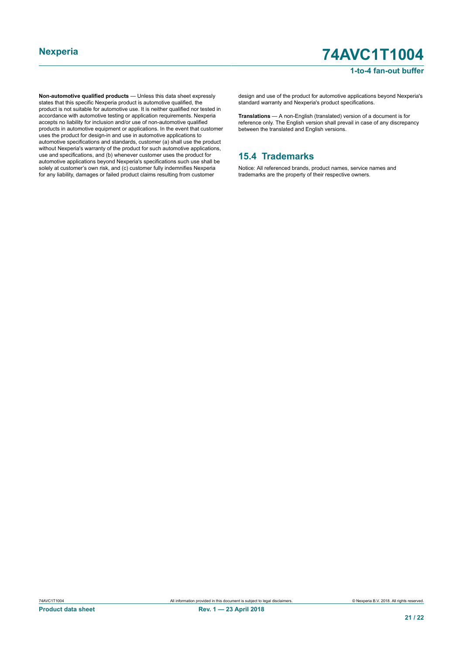### **1-to-4 fan-out buffer**

**Non-automotive qualified products** — Unless this data sheet expressly states that this specific Nexperia product is automotive qualified, the product is not suitable for automotive use. It is neither qualified nor tested in accordance with automotive testing or application requirements. Nexperia accepts no liability for inclusion and/or use of non-automotive qualified products in automotive equipment or applications. In the event that customer uses the product for design-in and use in automotive applications to automotive specifications and standards, customer (a) shall use the product without Nexperia's warranty of the product for such automotive applications, use and specifications, and (b) whenever customer uses the product for automotive applications beyond Nexperia's specifications such use shall be solely at customer's own risk, and (c) customer fully indemnifies Nexperia for any liability, damages or failed product claims resulting from customer

design and use of the product for automotive applications beyond Nexperia's standard warranty and Nexperia's product specifications.

**Translations** — A non-English (translated) version of a document is for reference only. The English version shall prevail in case of any discrepancy between the translated and English versions.

### **15.4 Trademarks**

Notice: All referenced brands, product names, service names and trademarks are the property of their respective owners.